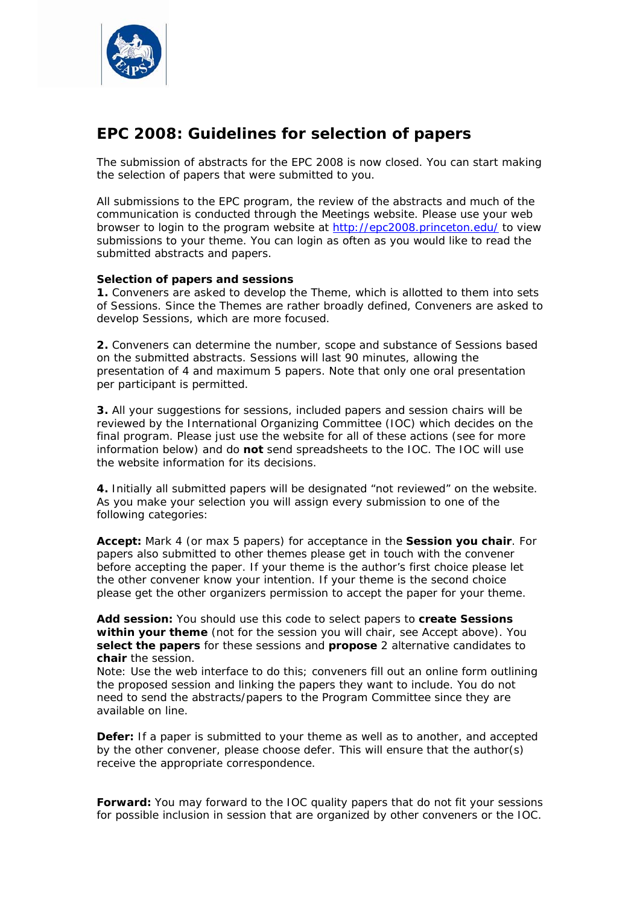

# **EPC 2008: Guidelines for selection of papers**

The submission of abstracts for the EPC 2008 is now closed. You can start making the selection of papers that were submitted to you.

All submissions to the EPC program, the review of the abstracts and much of the communication is conducted through the Meetings website. Please use your web browser to login to the program website at http://epc2008.princeton.edu/ to view submissions to your theme. You can login as often as you would like to read the submitted abstracts and papers.

## **Selection of papers and sessions**

**1.** Conveners are asked to develop the Theme, which is allotted to them into sets of Sessions. Since the Themes are rather broadly defined, Conveners are asked to develop Sessions, which are more focused.

**2.** Conveners can determine the number, scope and substance of Sessions based on the submitted abstracts. Sessions will last 90 minutes, allowing the presentation of 4 and maximum 5 papers. Note that only one oral presentation per participant is permitted.

**3.** All your suggestions for sessions, included papers and session chairs will be reviewed by the International Organizing Committee (IOC) which decides on the final program. Please just use the website for all of these actions (see for more information below) and do **not** send spreadsheets to the IOC. The IOC will use the website information for its decisions.

**4.** Initially all submitted papers will be designated "not reviewed" on the website. As you make your selection you will assign every submission to one of the following categories:

**Accept:** Mark 4 (or max 5 papers) for acceptance in the **Session you chair**. For papers also submitted to other themes please get in touch with the convener before accepting the paper. If your theme is the author's first choice please let the other convener know your intention. If your theme is the second choice please get the other organizers permission to accept the paper for your theme.

**Add session:** You should use this code to select papers to **create Sessions within your theme** (not for the session you will chair, see Accept above). You **select the papers** for these sessions and **propose** 2 alternative candidates to **chair** the session.

Note: Use the web interface to do this; conveners fill out an online form outlining the proposed session and linking the papers they want to include. You do not need to send the abstracts/papers to the Program Committee since they are available on line.

**Defer:** If a paper is submitted to your theme as well as to another, and accepted by the other convener, please choose defer. This will ensure that the author(s) receive the appropriate correspondence.

**Forward:** You may forward to the IOC quality papers that do not fit your sessions for possible inclusion in session that are organized by other conveners or the IOC.